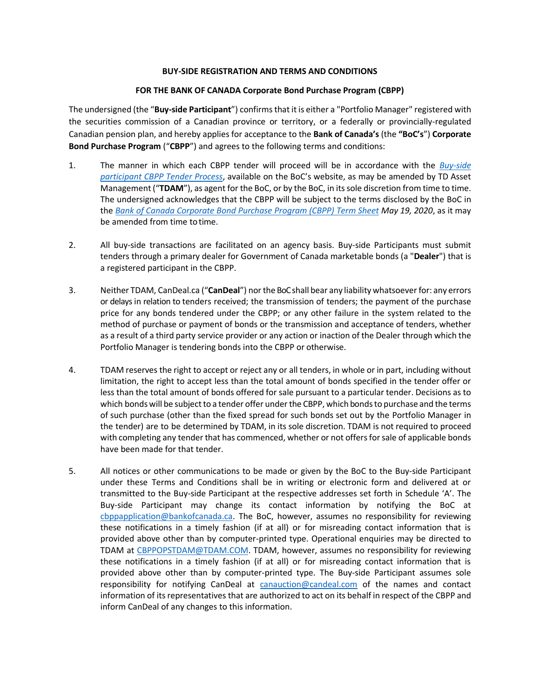## **BUY-SIDE REGISTRATION AND TERMS AND CONDITIONS**

## **FOR THE BANK OF CANADA Corporate Bond Purchase Program (CBPP)**

The undersigned (the "**Buy-side Participant**") confirms that it is either a "Portfolio Manager" registered with the securities commission of a Canadian province or territory, or a federally or provincially-regulated Canadian pension plan, and hereby applies for acceptance to the **Bank of Canada's** (the **"BoC's**") **Corporate Bond Purchase Program** ("**CBPP**") and agrees to the following terms and conditions:

- 1. The manner in which each CBPP tender will proceed will be in accordance with the *[Buy-side](https://www.bankofcanada.ca/wp-content/uploads/2020/10/Buy-side-Participant-CBPP-Tender-Process.pdf)  [participant CBPP](https://www.bankofcanada.ca/wp-content/uploads/2020/10/Buy-side-Participant-CBPP-Tender-Process.pdf) Tender Process*, available on the BoC's website, as may be amended by TD Asset Management ("**TDAM**"), as agent for the BoC, or by the BoC, in its sole discretion from time to time. The undersigned acknowledges that the CBPP will be subject to the terms disclosed by the BoC in the *[Bank of Canada Corporate Bond Purchase Program \(CBPP\) Term Sheet](https://www.bankofcanada.ca/markets/market-operations-liquidity-provision/market-operations-programs-and-facilities/corporate-bond-purchase-program/corporate-bond-purchase-program-cbpp-term-sheet/) May 19, 2020*, as it may be amended from time totime.
- 2. All buy-side transactions are facilitated on an agency basis. Buy-side Participants must submit tenders through a primary dealer for Government of Canada marketable bonds (a "**Dealer**") that is a registered participant in the CBPP.
- 3. Neither TDAM, CanDeal.ca ("**CanDeal**") northe BoC shall bear any liability whatsoever for: any errors or delays in relation to tenders received; the transmission of tenders; the payment of the purchase price for any bonds tendered under the CBPP; or any other failure in the system related to the method of purchase or payment of bonds or the transmission and acceptance of tenders, whether as a result of a third party service provider or any action or inaction of the Dealer through which the Portfolio Manager is tendering bonds into the CBPP or otherwise.
- 4. TDAM reserves the right to accept or reject any or all tenders, in whole or in part, including without limitation, the right to accept less than the total amount of bonds specified in the tender offer or less than the total amount of bonds offered for sale pursuant to a particular tender. Decisions as to which bonds will be subject to a tender offer under the CBPP, which bonds to purchase and the terms of such purchase (other than the fixed spread for such bonds set out by the Portfolio Manager in the tender) are to be determined by TDAM, in its sole discretion. TDAM is not required to proceed with completing any tender that has commenced, whether or not offers for sale of applicable bonds have been made for that tender.
- 5. All notices or other communications to be made or given by the BoC to the Buy-side Participant under these Terms and Conditions shall be in writing or electronic form and delivered at or transmitted to the Buy-side Participant at the respective addresses set forth in Schedule 'A'. The Buy-side Participant may change its contact information by notifying the BoC at [cbppapplication@bankofcanada.ca.](mailto:cbppapplication@bankofcanada.ca) The BoC, however, assumes no responsibility for reviewing these notifications in a timely fashion (if at all) or for misreading contact information that is provided above other than by computer-printed type. Operational enquiries may be directed to TDAM at [CBPPOPSTDAM@TDAM.COM.](mailto:CBPPOPSTDAM@TDAM.COM) TDAM, however, assumes no responsibility for reviewing these notifications in a timely fashion (if at all) or for misreading contact information that is provided above other than by computer‐printed type. The Buy-side Participant assumes sole responsibility for notifying CanDeal at [canauction@candeal.com](mailto:canauction@candeal.com) of the names and contact information of its representatives that are authorized to act on its behalf in respect of the CBPP and inform CanDeal of any changes to this information.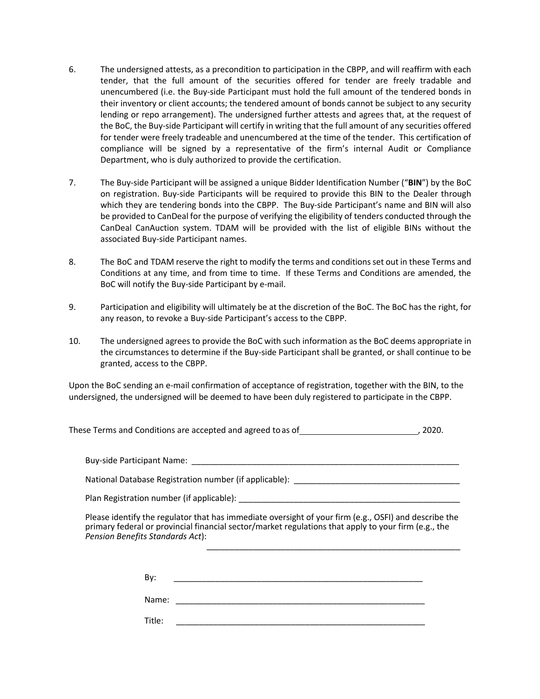- 6. The undersigned attests, as a precondition to participation in the CBPP, and will reaffirm with each tender, that the full amount of the securities offered for tender are freely tradable and unencumbered (i.e. the Buy-side Participant must hold the full amount of the tendered bonds in their inventory or client accounts; the tendered amount of bonds cannot be subject to any security lending or repo arrangement). The undersigned further attests and agrees that, at the request of the BoC, the Buy-side Participant will certify in writing that the full amount of any securities offered for tender were freely tradeable and unencumbered at the time of the tender. This certification of compliance will be signed by a representative of the firm's internal Audit or Compliance Department, who is duly authorized to provide the certification.
- 7. The Buy-side Participant will be assigned a unique Bidder Identification Number ("**BIN**") by the BoC on registration. Buy-side Participants will be required to provide this BIN to the Dealer through which they are tendering bonds into the CBPP. The Buy-side Participant's name and BIN will also be provided to CanDeal for the purpose of verifying the eligibility of tenders conducted through the CanDeal CanAuction system. TDAM will be provided with the list of eligible BINs without the associated Buy-side Participant names.
- 8. The BoC and TDAM reserve the right to modify the terms and conditions set out in these Terms and Conditions at any time, and from time to time. If these Terms and Conditions are amended, the BoC will notify the Buy-side Participant by e-mail.
- 9. Participation and eligibility will ultimately be at the discretion of the BoC. The BoC has the right, for any reason, to revoke a Buy-side Participant's access to the CBPP.
- 10. The undersigned agrees to provide the BoC with such information as the BoC deems appropriate in the circumstances to determine if the Buy-side Participant shall be granted, or shall continue to be granted, access to the CBPP.

Upon the BoC sending an e-mail confirmation of acceptance of registration, together with the BIN, to the undersigned, the undersigned will be deemed to have been duly registered to participate in the CBPP.

These Terms and Conditions are accepted and agreed to as of  $\sim$  , 2020.

Buy-side Participant Name:

National Database Registration number (if applicable): \_\_\_\_\_\_\_\_\_\_\_\_\_\_\_\_\_\_\_\_\_\_\_\_\_\_

Plan Registration number (if applicable):

Please identify the regulator that has immediate oversight of your firm (e.g., OSFI) and describe the primary federal or provincial financial sector/market regulations that apply to your firm (e.g., the *Pension Benefits Standards Act*):  $\frac{1}{2}$  ,  $\frac{1}{2}$  ,  $\frac{1}{2}$  ,  $\frac{1}{2}$  ,  $\frac{1}{2}$  ,  $\frac{1}{2}$  ,  $\frac{1}{2}$  ,  $\frac{1}{2}$  ,  $\frac{1}{2}$  ,  $\frac{1}{2}$  ,  $\frac{1}{2}$  ,  $\frac{1}{2}$  ,  $\frac{1}{2}$  ,  $\frac{1}{2}$  ,  $\frac{1}{2}$  ,  $\frac{1}{2}$  ,  $\frac{1}{2}$  ,  $\frac{1}{2}$  ,  $\frac{1$ 

 $\mathsf{By:}\qquad\qquad$ 

Name: \_\_\_\_\_\_\_\_\_\_\_\_\_\_\_\_\_\_\_\_\_\_\_\_\_\_\_\_\_\_\_\_\_\_\_\_\_\_\_\_\_\_\_\_\_\_\_\_\_\_\_\_\_\_

Title:  $\qquad \qquad \qquad \qquad \qquad$